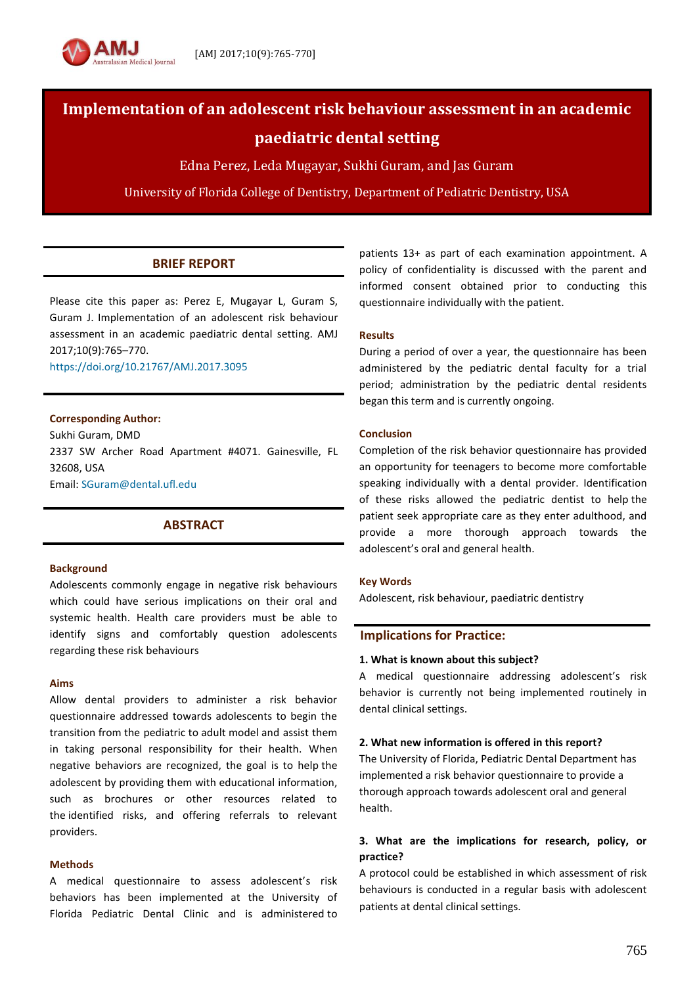

# **Implementation of an adolescent risk behaviour assessment in an academic paediatric dental setting**

Edna Perez, Leda Mugayar, Sukhi Guram, and Jas Guram

University of Florida College of Dentistry, Department of Pediatric Dentistry, USA

# **BRIEF REPORT**

Please cite this paper as: Perez E, Mugayar L, Guram S, Guram J. Implementation of an adolescent risk behaviour assessment in an academic paediatric dental setting. AMJ 2017;10(9):765–770.

<https://doi.org/10.21767/AMJ.2017.3095>

#### **Corresponding Author:**

Sukhi Guram, DMD 2337 SW Archer Road Apartment #4071. Gainesville, FL 32608, USA Email: [SGuram@dental.ufl.edu](mailto:SGuram@dental.ufl.edu)

## **ABSTRACT**

## **Background**

Adolescents commonly engage in negative risk behaviours which could have serious implications on their oral and systemic health. Health care providers must be able to identify signs and comfortably question adolescents regarding these risk behaviours

#### **Aims**

Allow dental providers to administer a risk behavior questionnaire addressed towards adolescents to begin the transition from the pediatric to adult model and assist them in taking personal responsibility for their health. When negative behaviors are recognized, the goal is to help the adolescent by providing them with educational information, such as brochures or other resources related to the identified risks, and offering referrals to relevant providers.

#### **Methods**

A medical questionnaire to assess adolescent's risk behaviors has been implemented at the University of Florida Pediatric Dental Clinic and is administered to

patients 13+ as part of each examination appointment. A policy of confidentiality is discussed with the parent and informed consent obtained prior to conducting this questionnaire individually with the patient.

#### **Results**

During a period of over a year, the questionnaire has been administered by the pediatric dental faculty for a trial period; administration by the pediatric dental residents began this term and is currently ongoing.

#### **Conclusion**

Completion of the risk behavior questionnaire has provided an opportunity for teenagers to become more comfortable speaking individually with a dental provider. Identification of these risks allowed the pediatric dentist to help the patient seek appropriate care as they enter adulthood, and provide a more thorough approach towards the adolescent's oral and general health.

#### **Key Words**

Adolescent, risk behaviour, paediatric dentistry

## **Implications for Practice:**

### **1. What is known about this subject?**

A medical questionnaire addressing adolescent's risk behavior is currently not being implemented routinely in dental clinical settings.

#### **2. What new information is offered in this report?**

The University of Florida, Pediatric Dental Department has implemented a risk behavior questionnaire to provide a thorough approach towards adolescent oral and general health.

## **3. What are the implications for research, policy, or practice?**

A protocol could be established in which assessment of risk behaviours is conducted in a regular basis with adolescent patients at dental clinical settings.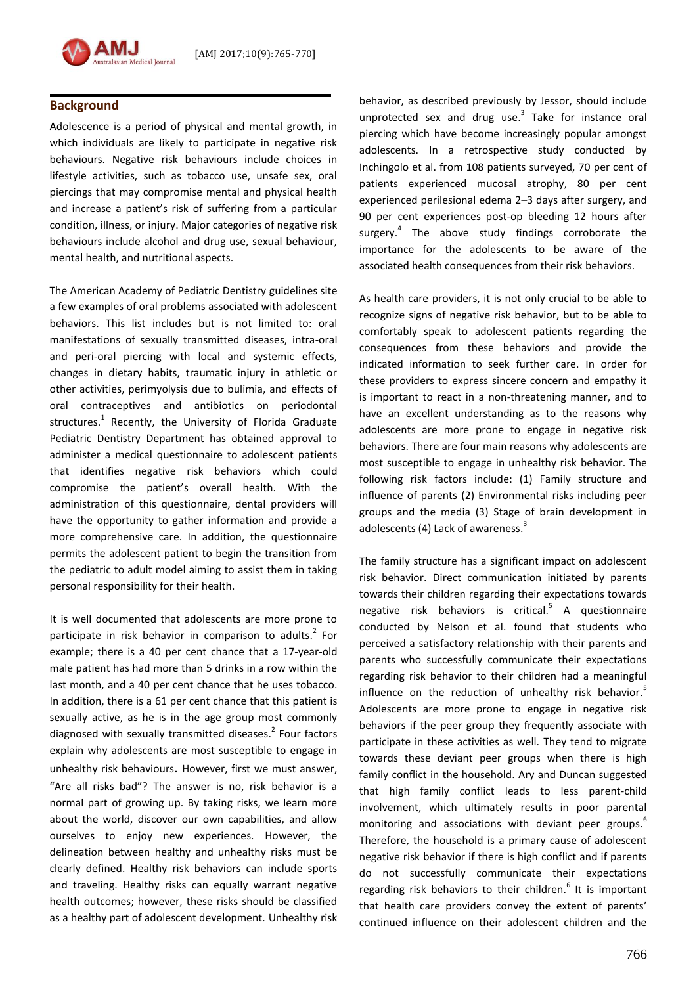

## **Background**

Adolescence is a period of physical and mental growth, in which individuals are likely to participate in negative risk behaviours. Negative risk behaviours include choices in lifestyle activities, such as tobacco use, unsafe sex, oral piercings that may compromise mental and physical health and increase a patient's risk of suffering from a particular condition, illness, or injury. Major categories of negative risk behaviours include alcohol and drug use, sexual behaviour, mental health, and nutritional aspects.

The American Academy of Pediatric Dentistry guidelines site a few examples of oral problems associated with adolescent behaviors. This list includes but is not limited to: oral manifestations of sexually transmitted diseases, intra-oral and peri-oral piercing with local and systemic effects, changes in dietary habits, traumatic injury in athletic or other activities, perimyolysis due to bulimia, and effects of oral contraceptives and antibiotics on periodontal structures.<sup>1</sup> Recently, the University of Florida Graduate Pediatric Dentistry Department has obtained approval to administer a medical questionnaire to adolescent patients that identifies negative risk behaviors which could compromise the patient's overall health. With the administration of this questionnaire, dental providers will have the opportunity to gather information and provide a more comprehensive care. In addition, the questionnaire permits the adolescent patient to begin the transition from the pediatric to adult model aiming to assist them in taking personal responsibility for their health.

It is well documented that adolescents are more prone to participate in risk behavior in comparison to adults.<sup>2</sup> For example; there is a 40 per cent chance that a 17-year-old male patient has had more than 5 drinks in a row within the last month, and a 40 per cent chance that he uses tobacco. In addition, there is a 61 per cent chance that this patient is sexually active, as he is in the age group most commonly diagnosed with sexually transmitted diseases. 2 Four factors explain why adolescents are most susceptible to engage in unhealthy risk behaviours. However, first we must answer, "Are all risks bad"? The answer is no, risk behavior is a normal part of growing up. By taking risks, we learn more about the world, discover our own capabilities, and allow ourselves to enjoy new experiences. However, the delineation between healthy and unhealthy risks must be clearly defined. Healthy risk behaviors can include sports and traveling. Healthy risks can equally warrant negative health outcomes; however, these risks should be classified as a healthy part of adolescent development. Unhealthy risk behavior, as described previously by Jessor, should include unprotected sex and drug use.<sup>3</sup> Take for instance oral piercing which have become increasingly popular amongst adolescents. In a retrospective study conducted by Inchingolo et al. from 108 patients surveyed, 70 per cent of patients experienced mucosal atrophy, 80 per cent experienced perilesional edema 2–3 days after surgery, and 90 per cent experiences post-op bleeding 12 hours after surgery.<sup>4</sup> The above study findings corroborate the importance for the adolescents to be aware of the associated health consequences from their risk behaviors.

As health care providers, it is not only crucial to be able to recognize signs of negative risk behavior, but to be able to comfortably speak to adolescent patients regarding the consequences from these behaviors and provide the indicated information to seek further care. In order for these providers to express sincere concern and empathy it is important to react in a non-threatening manner, and to have an excellent understanding as to the reasons why adolescents are more prone to engage in negative risk behaviors. There are four main reasons why adolescents are most susceptible to engage in unhealthy risk behavior. The following risk factors include: (1) Family structure and influence of parents (2) Environmental risks including peer groups and the media (3) Stage of brain development in adolescents (4) Lack of awareness.<sup>3</sup>

The family structure has a significant impact on adolescent risk behavior. Direct communication initiated by parents towards their children regarding their expectations towards negative risk behaviors is critical.<sup>5</sup> A questionnaire conducted by Nelson et al. found that students who perceived a satisfactory relationship with their parents and parents who successfully communicate their expectations regarding risk behavior to their children had a meaningful influence on the reduction of unhealthy risk behavior.<sup>5</sup> Adolescents are more prone to engage in negative risk behaviors if the peer group they frequently associate with participate in these activities as well. They tend to migrate towards these deviant peer groups when there is high family conflict in the household. Ary and Duncan suggested that high family conflict leads to less parent-child involvement, which ultimately results in poor parental monitoring and associations with deviant peer groups. 6 Therefore, the household is a primary cause of adolescent negative risk behavior if there is high conflict and if parents do not successfully communicate their expectations regarding risk behaviors to their children.<sup>6</sup> It is important that health care providers convey the extent of parents' continued influence on their adolescent children and the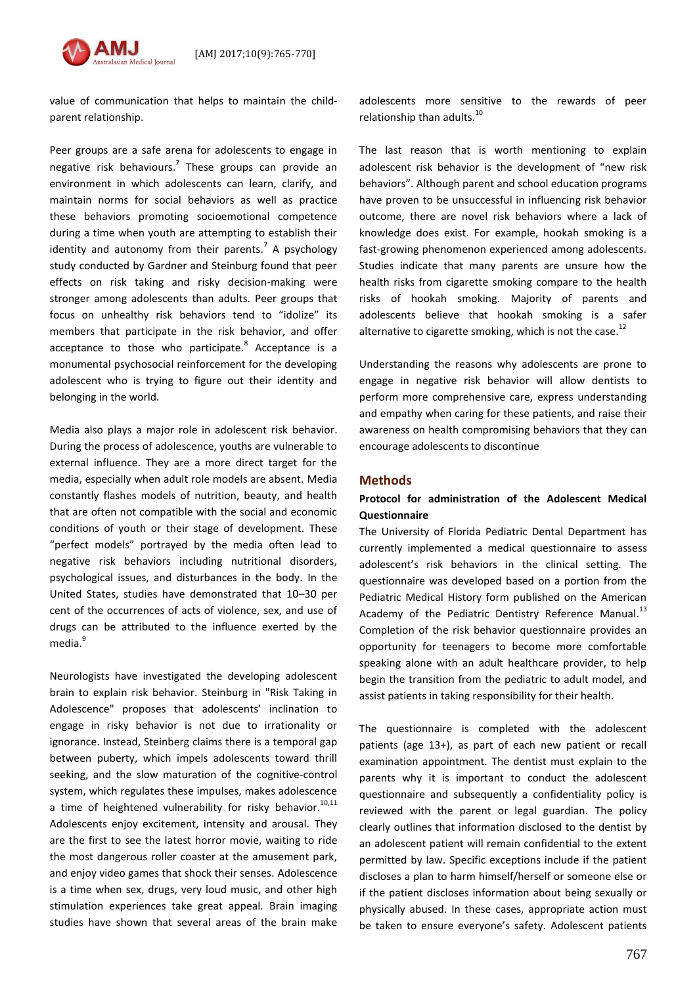

value of communication that helps to maintain the childparent relationship.

Peer groups are a safe arena for adolescents to engage in negative risk behaviours. 7 These groups can provide an environment in which adolescents can learn, clarify, and maintain norms for social behaviors as well as practice these behaviors promoting socioemotional competence during a time when youth are attempting to establish their identity and autonomy from their parents.<sup>7</sup> A psychology study conducted by Gardner and Steinburg found that peer effects on risk taking and risky decision-making were stronger among adolescents than adults. Peer groups that focus on unhealthy risk behaviors tend to "idolize" its members that participate in the risk behavior, and offer acceptance to those who participate.<sup>8</sup> Acceptance is a monumental psychosocial reinforcement for the developing adolescent who is trying to figure out their identity and belonging in the world.

Media also plays a major role in adolescent risk behavior. During the process of adolescence, youths are vulnerable to external influence. They are a more direct target for the media, especially when adult role models are absent. Media constantly flashes models of nutrition, beauty, and health that are often not compatible with the social and economic conditions of youth or their stage of development. These "perfect models" portrayed by the media often lead to negative risk behaviors including nutritional disorders, psychological issues, and disturbances in the body. In the United States, studies have demonstrated that 10–30 per cent of the occurrences of acts of violence, sex, and use of drugs can be attributed to the influence exerted by the media.<sup>9</sup>

Neurologists have investigated the developing adolescent brain to explain risk behavior. Steinburg in "Risk Taking in Adolescence" proposes that adolescents' inclination to engage in risky behavior is not due to irrationality or ignorance. Instead, Steinberg claims there is a temporal gap between puberty, which impels adolescents toward thrill seeking, and the slow maturation of the cognitive-control system, which regulates these impulses, makes adolescence a time of heightened vulnerability for risky behavior. $10,11$ Adolescents enjoy excitement, intensity and arousal. They are the first to see the latest horror movie, waiting to ride the most dangerous roller coaster at the amusement park, and enjoy video games that shock their senses. Adolescence is a time when sex, drugs, very loud music, and other high stimulation experiences take great appeal. Brain imaging studies have shown that several areas of the brain make

adolescents more sensitive to the rewards of peer relationship than adults.<sup>10</sup>

The last reason that is worth mentioning to explain adolescent risk behavior is the development of "new risk behaviors". Although parent and school education programs have proven to be unsuccessful in influencing risk behavior outcome, there are novel risk behaviors where a lack of knowledge does exist. For example, hookah smoking is a fast-growing phenomenon experienced among adolescents. Studies indicate that many parents are unsure how the health risks from cigarette smoking compare to the health risks of hookah smoking. Majority of parents and adolescents believe that hookah smoking is a safer alternative to cigarette smoking, which is not the case.<sup>12</sup>

Understanding the reasons why adolescents are prone to engage in negative risk behavior will allow dentists to perform more comprehensive care, express understanding and empathy when caring for these patients, and raise their awareness on health compromising behaviors that they can encourage adolescents to discontinue

#### **Methods**

## **Protocol for administration of the Adolescent Medical Questionnaire**

The University of Florida Pediatric Dental Department has currently implemented a medical questionnaire to assess adolescent's risk behaviors in the clinical setting. The questionnaire was developed based on a portion from the Pediatric Medical History form published on the American Academy of the Pediatric Dentistry Reference Manual.<sup>13</sup> Completion of the risk behavior questionnaire provides an opportunity for teenagers to become more comfortable speaking alone with an adult healthcare provider, to help begin the transition from the pediatric to adult model, and assist patients in taking responsibility for their health.

The questionnaire is completed with the adolescent patients (age 13+), as part of each new patient or recall examination appointment. The dentist must explain to the parents why it is important to conduct the adolescent questionnaire and subsequently a confidentiality policy is reviewed with the parent or legal guardian. The policy clearly outlines that information disclosed to the dentist by an adolescent patient will remain confidential to the extent permitted by law. Specific exceptions include if the patient discloses a plan to harm himself/herself or someone else or if the patient discloses information about being sexually or physically abused. In these cases, appropriate action must be taken to ensure everyone's safety. Adolescent patients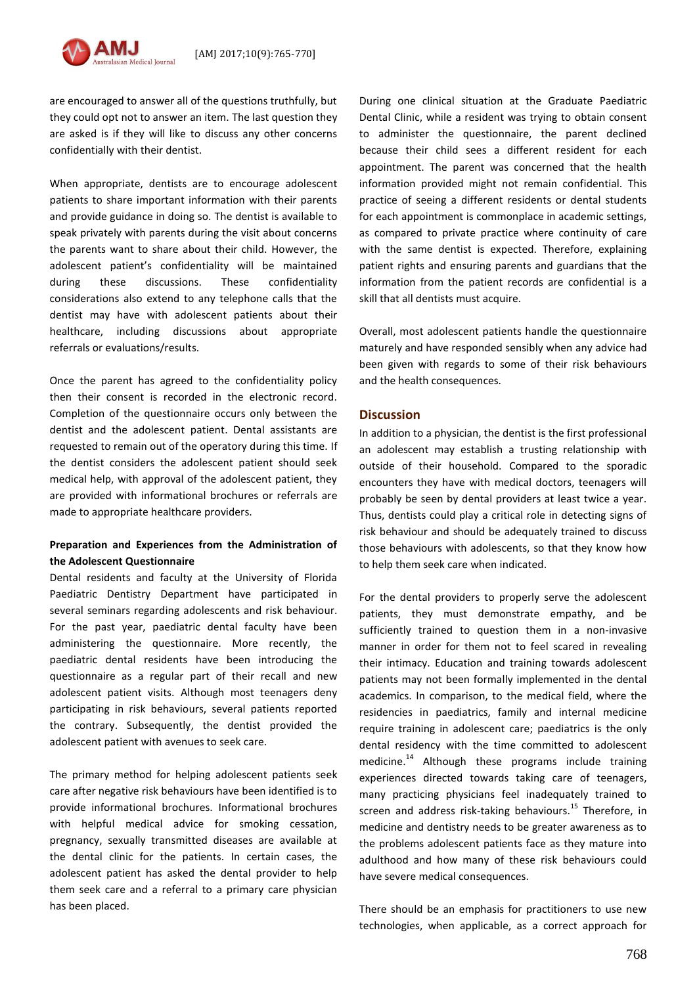

are encouraged to answer all of the questions truthfully, but they could opt not to answer an item. The last question they are asked is if they will like to discuss any other concerns confidentially with their dentist.

When appropriate, dentists are to encourage adolescent patients to share important information with their parents and provide guidance in doing so. The dentist is available to speak privately with parents during the visit about concerns the parents want to share about their child. However, the adolescent patient's confidentiality will be maintained during these discussions. These confidentiality considerations also extend to any telephone calls that the dentist may have with adolescent patients about their healthcare, including discussions about appropriate referrals or evaluations/results.

Once the parent has agreed to the confidentiality policy then their consent is recorded in the electronic record. Completion of the questionnaire occurs only between the dentist and the adolescent patient. Dental assistants are requested to remain out of the operatory during this time. If the dentist considers the adolescent patient should seek medical help, with approval of the adolescent patient, they are provided with informational brochures or referrals are made to appropriate healthcare providers.

## **Preparation and Experiences from the Administration of the Adolescent Questionnaire**

Dental residents and faculty at the University of Florida Paediatric Dentistry Department have participated in several seminars regarding adolescents and risk behaviour. For the past year, paediatric dental faculty have been administering the questionnaire. More recently, the paediatric dental residents have been introducing the questionnaire as a regular part of their recall and new adolescent patient visits. Although most teenagers deny participating in risk behaviours, several patients reported the contrary. Subsequently, the dentist provided the adolescent patient with avenues to seek care.

The primary method for helping adolescent patients seek care after negative risk behaviours have been identified is to provide informational brochures. Informational brochures with helpful medical advice for smoking cessation, pregnancy, sexually transmitted diseases are available at the dental clinic for the patients. In certain cases, the adolescent patient has asked the dental provider to help them seek care and a referral to a primary care physician has been placed.

During one clinical situation at the Graduate Paediatric Dental Clinic, while a resident was trying to obtain consent to administer the questionnaire, the parent declined because their child sees a different resident for each appointment. The parent was concerned that the health information provided might not remain confidential. This practice of seeing a different residents or dental students for each appointment is commonplace in academic settings, as compared to private practice where continuity of care with the same dentist is expected. Therefore, explaining patient rights and ensuring parents and guardians that the information from the patient records are confidential is a skill that all dentists must acquire.

Overall, most adolescent patients handle the questionnaire maturely and have responded sensibly when any advice had been given with regards to some of their risk behaviours and the health consequences.

## **Discussion**

In addition to a physician, the dentist is the first professional an adolescent may establish a trusting relationship with outside of their household. Compared to the sporadic encounters they have with medical doctors, teenagers will probably be seen by dental providers at least twice a year. Thus, dentists could play a critical role in detecting signs of risk behaviour and should be adequately trained to discuss those behaviours with adolescents, so that they know how to help them seek care when indicated.

For the dental providers to properly serve the adolescent patients, they must demonstrate empathy, and be sufficiently trained to question them in a non-invasive manner in order for them not to feel scared in revealing their intimacy. Education and training towards adolescent patients may not been formally implemented in the dental academics. In comparison, to the medical field, where the residencies in paediatrics, family and internal medicine require training in adolescent care; paediatrics is the only dental residency with the time committed to adolescent medicine. 14 Although these programs include training experiences directed towards taking care of teenagers, many practicing physicians feel inadequately trained to screen and address risk-taking behaviours. <sup>15</sup> Therefore, in medicine and dentistry needs to be greater awareness as to the problems adolescent patients face as they mature into adulthood and how many of these risk behaviours could have severe medical consequences.

There should be an emphasis for practitioners to use new technologies, when applicable, as a correct approach for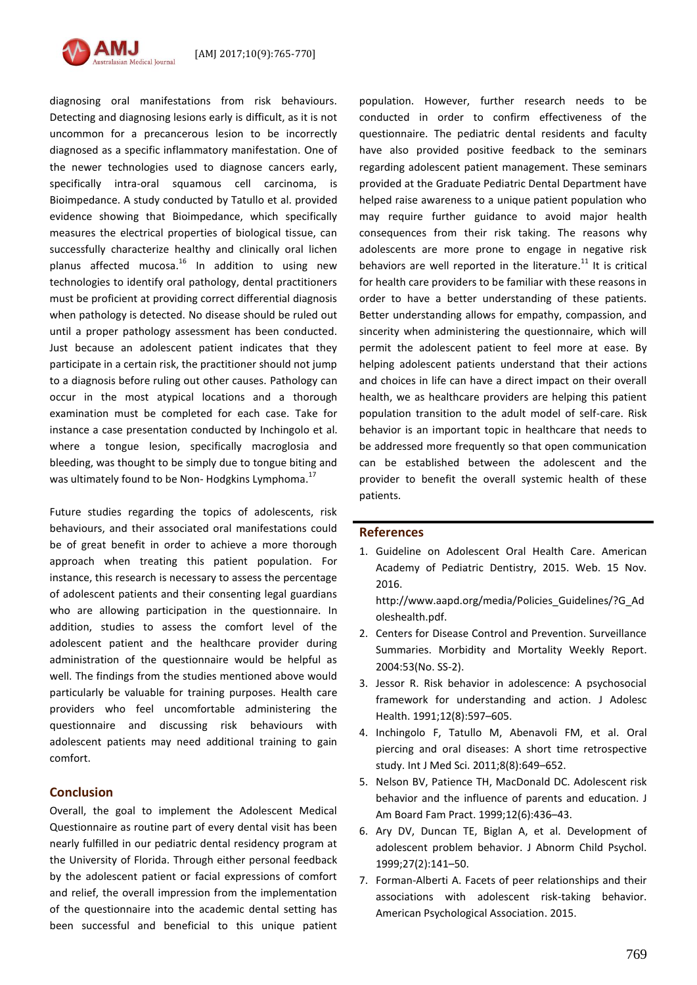diagnosing oral manifestations from risk behaviours. Detecting and diagnosing lesions early is difficult, as it is not uncommon for a precancerous lesion to be incorrectly diagnosed as a specific inflammatory manifestation. One of the newer technologies used to diagnose cancers early, specifically intra-oral squamous cell carcinoma, is Bioimpedance. A study conducted by Tatullo et al. provided evidence showing that Bioimpedance, which specifically measures the electrical properties of biological tissue, can successfully characterize healthy and clinically oral lichen planus affected mucosa.<sup>16</sup> In addition to using new technologies to identify oral pathology, dental practitioners must be proficient at providing correct differential diagnosis when pathology is detected. No disease should be ruled out until a proper pathology assessment has been conducted. Just because an adolescent patient indicates that they participate in a certain risk, the practitioner should not jump to a diagnosis before ruling out other causes. Pathology can occur in the most atypical locations and a thorough examination must be completed for each case. Take for instance a case presentation conducted by Inchingolo et al. where a tongue lesion, specifically macroglosia and bleeding, was thought to be simply due to tongue biting and was ultimately found to be Non- Hodgkins Lymphoma.<sup>17</sup>

Future studies regarding the topics of adolescents, risk behaviours, and their associated oral manifestations could be of great benefit in order to achieve a more thorough approach when treating this patient population. For instance, this research is necessary to assess the percentage of adolescent patients and their consenting legal guardians who are allowing participation in the questionnaire. In addition, studies to assess the comfort level of the adolescent patient and the healthcare provider during administration of the questionnaire would be helpful as well. The findings from the studies mentioned above would particularly be valuable for training purposes. Health care providers who feel uncomfortable administering the questionnaire and discussing risk behaviours with adolescent patients may need additional training to gain comfort.

#### **Conclusion**

Overall, the goal to implement the Adolescent Medical Questionnaire as routine part of every dental visit has been nearly fulfilled in our pediatric dental residency program at the University of Florida. Through either personal feedback by the adolescent patient or facial expressions of comfort and relief, the overall impression from the implementation of the questionnaire into the academic dental setting has been successful and beneficial to this unique patient

population. However, further research needs to be conducted in order to confirm effectiveness of the questionnaire. The pediatric dental residents and faculty have also provided positive feedback to the seminars regarding adolescent patient management. These seminars provided at the Graduate Pediatric Dental Department have helped raise awareness to a unique patient population who may require further guidance to avoid major health consequences from their risk taking. The reasons why adolescents are more prone to engage in negative risk behaviors are well reported in the literature. $^{11}$  It is critical for health care providers to be familiar with these reasons in order to have a better understanding of these patients. Better understanding allows for empathy, compassion, and sincerity when administering the questionnaire, which will permit the adolescent patient to feel more at ease. By helping adolescent patients understand that their actions and choices in life can have a direct impact on their overall health, we as healthcare providers are helping this patient population transition to the adult model of self-care. Risk behavior is an important topic in healthcare that needs to be addressed more frequently so that open communication can be established between the adolescent and the provider to benefit the overall systemic health of these patients.

#### **References**

1. Guideline on Adolescent Oral Health Care. American Academy of Pediatric Dentistry, 2015. Web. 15 Nov. 2016.

[http://www.aapd.org/media/Policies\\_Guidelines/?G\\_Ad](http://www.aapd.org/media/Policies_Guidelines/?G_Adoleshealth.pdf) [oleshealth.pdf.](http://www.aapd.org/media/Policies_Guidelines/?G_Adoleshealth.pdf)

- 2. Centers for Disease Control and Prevention. Surveillance Summaries. Morbidity and Mortality Weekly Report. 2004:53(No. SS-2).
- 3. Jessor R. Risk behavior in adolescence: A psychosocial framework for understanding and action. J Adolesc Health. 1991;12(8):597–605.
- 4. Inchingolo F, Tatullo M, Abenavoli FM, et al. Oral piercing and oral diseases: A short time retrospective study. Int J Med Sci. 2011;8(8):649–652.
- 5. Nelson BV, Patience TH, MacDonald DC. Adolescent risk behavior and the influence of parents and education. J Am Board Fam Pract. 1999;12(6):436–43.
- 6. Ary DV, Duncan TE, Biglan A, et al. Development of adolescent problem behavior. J Abnorm Child Psychol. 1999;27(2):141–50.
- 7. Forman-Alberti A. Facets of peer relationships and their associations with adolescent risk-taking behavior. American Psychological Association. 2015.